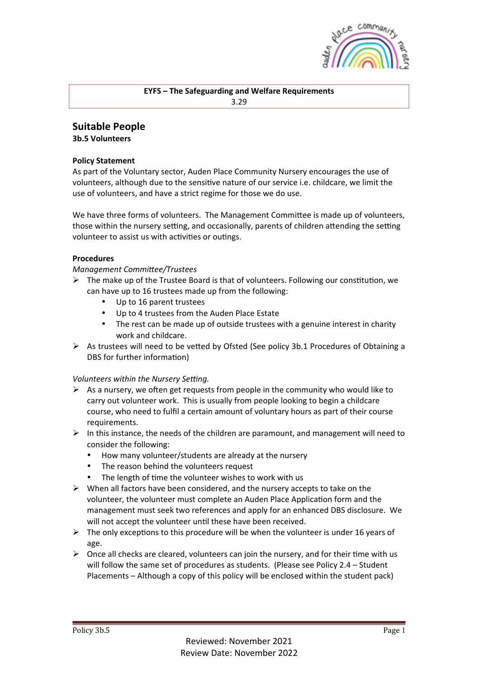

## **EYFS** – The Safeguarding and Welfare Requirements 3.29

# **Suitable People**

**3b.5 Volunteers**

### **Policy Statement**

As part of the Voluntary sector, Auden Place Community Nursery encourages the use of volunteers, although due to the sensitive nature of our service i.e. childcare, we limit the use of volunteers, and have a strict regime for those we do use.

We have three forms of volunteers. The Management Committee is made up of volunteers, those within the nursery setting, and occasionally, parents of children attending the setting volunteer to assist us with activities or outings.

#### **Procedures**

*Management Committee/Trustees* 

- $\triangleright$  The make up of the Trustee Board is that of volunteers. Following our constitution, we can have up to 16 trustees made up from the following:
	- Up to 16 parent trustees
	- Up to 4 trustees from the Auden Place Estate
	- The rest can be made up of outside trustees with a genuine interest in charity work and childcare.
- $\triangleright$  As trustees will need to be vetted by Ofsted (See policy 3b.1 Procedures of Obtaining a DBS for further information)

## *Volunteers within the Nursery Setting.*

- $\triangleright$  As a nursery, we often get requests from people in the community who would like to carry out volunteer work. This is usually from people looking to begin a childcare course, who need to fulfil a certain amount of voluntary hours as part of their course requirements.
- $\triangleright$  In this instance, the needs of the children are paramount, and management will need to consider the following:
	- How many volunteer/students are already at the nursery
	- The reason behind the volunteers request
	- The length of time the volunteer wishes to work with us
- $\triangleright$  When all factors have been considered, and the nursery accepts to take on the volunteer, the volunteer must complete an Auden Place Application form and the management must seek two references and apply for an enhanced DBS disclosure. We will not accept the volunteer until these have been received.
- $\triangleright$  The only exceptions to this procedure will be when the volunteer is under 16 years of age.
- $\triangleright$  Once all checks are cleared, volunteers can join the nursery, and for their time with us will follow the same set of procedures as students. (Please see Policy  $2.4 -$  Student Placements – Although a copy of this policy will be enclosed within the student pack)